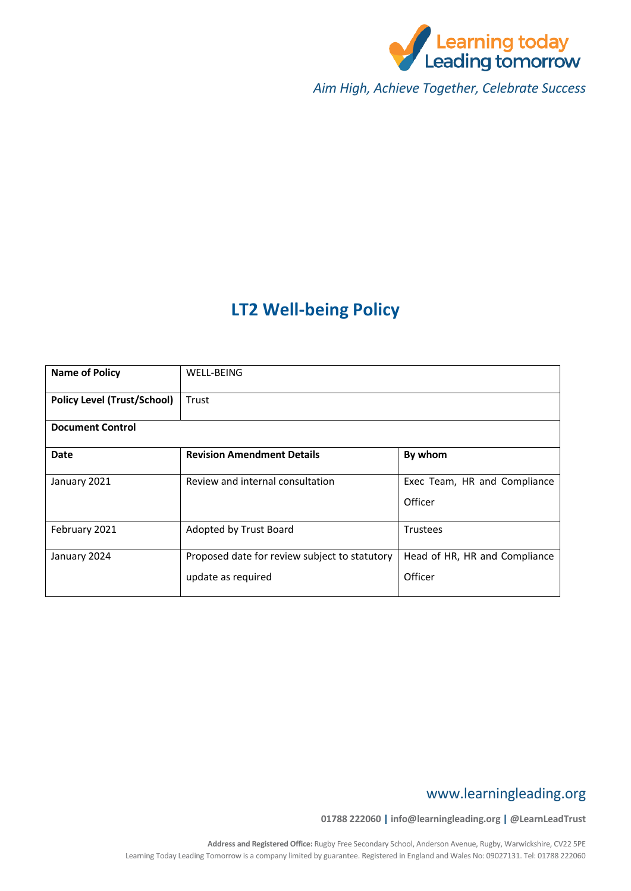

*Aim High, Achieve Together, Celebrate Success*

# **LT2 Well-being Policy**

| <b>Name of Policy</b>              | <b>WELL-BEING</b>                                                   |                                          |  |  |
|------------------------------------|---------------------------------------------------------------------|------------------------------------------|--|--|
| <b>Policy Level (Trust/School)</b> | Trust                                                               |                                          |  |  |
| <b>Document Control</b>            |                                                                     |                                          |  |  |
| Date                               | <b>Revision Amendment Details</b>                                   | By whom                                  |  |  |
| January 2021                       | Review and internal consultation                                    | Exec Team, HR and Compliance<br>Officer  |  |  |
| February 2021                      | Adopted by Trust Board                                              | <b>Trustees</b>                          |  |  |
| January 2024                       | Proposed date for review subject to statutory<br>update as required | Head of HR, HR and Compliance<br>Officer |  |  |

# www.learningleading.org

**01788 222060 | info@learningleading.org | @LearnLeadTrust**

**Address and Registered Office:** Rugby Free Secondary School, Anderson Avenue, Rugby, Warwickshire, CV22 5PE Learning Today Leading Tomorrow is a company limited by guarantee. Registered in England and Wales No: 09027131. Tel: 01788 222060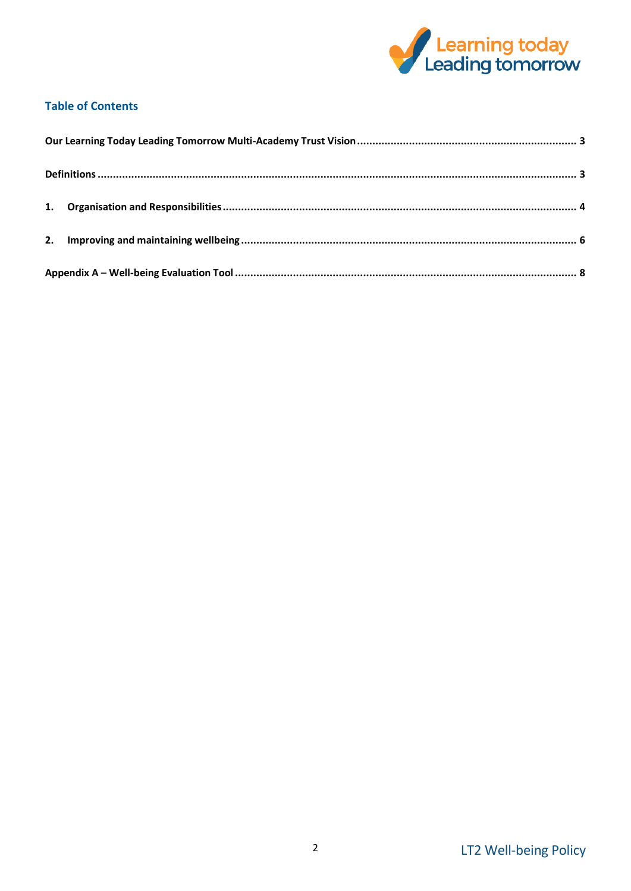

# **Table of Contents**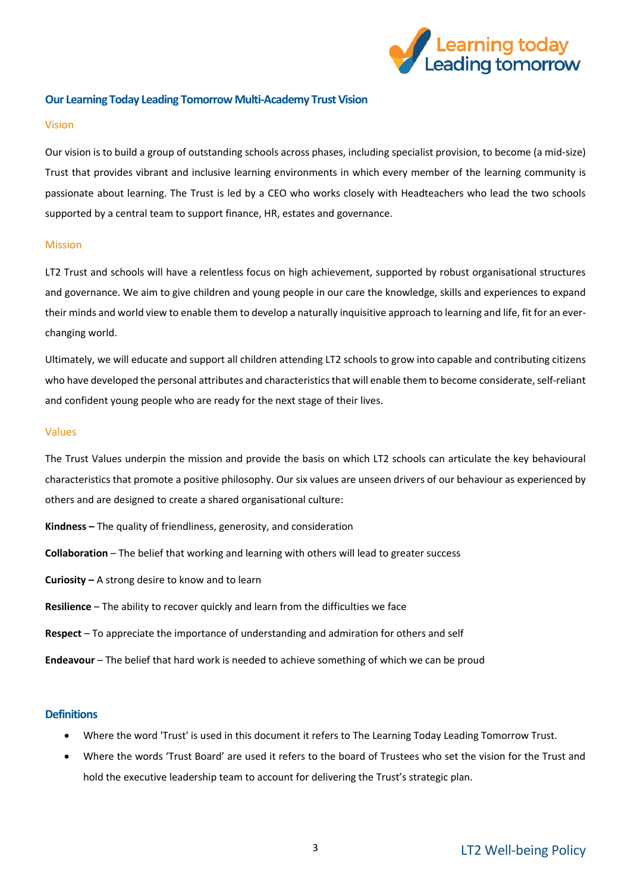

# <span id="page-2-0"></span>**Our Learning Today Leading Tomorrow Multi-Academy Trust Vision**

#### Vision

Our vision is to build a group of outstanding schools across phases, including specialist provision, to become (a mid-size) Trust that provides vibrant and inclusive learning environments in which every member of the learning community is passionate about learning. The Trust is led by a CEO who works closely with Headteachers who lead the two schools supported by a central team to support finance, HR, estates and governance.

#### Mission

LT2 Trust and schools will have a relentless focus on high achievement, supported by robust organisational structures and governance. We aim to give children and young people in our care the knowledge, skills and experiences to expand their minds and world view to enable them to develop a naturally inquisitive approach to learning and life, fit for an everchanging world.

Ultimately, we will educate and support all children attending LT2 schools to grow into capable and contributing citizens who have developed the personal attributes and characteristics that will enable them to become considerate, self-reliant and confident young people who are ready for the next stage of their lives.

#### Values

The Trust Values underpin the mission and provide the basis on which LT2 schools can articulate the key behavioural characteristics that promote a positive philosophy. Our six values are unseen drivers of our behaviour as experienced by others and are designed to create a shared organisational culture:

- **Kindness –** The quality of friendliness, generosity, and consideration
- **Collaboration** The belief that working and learning with others will lead to greater success
- **Curiosity –** A strong desire to know and to learn
- **Resilience** The ability to recover quickly and learn from the difficulties we face
- **Respect** To appreciate the importance of understanding and admiration for others and self
- **Endeavour** The belief that hard work is needed to achieve something of which we can be proud

### <span id="page-2-1"></span>**Definitions**

- Where the word 'Trust' is used in this document it refers to The Learning Today Leading Tomorrow Trust.
- Where the words 'Trust Board' are used it refers to the board of Trustees who set the vision for the Trust and hold the executive leadership team to account for delivering the Trust's strategic plan.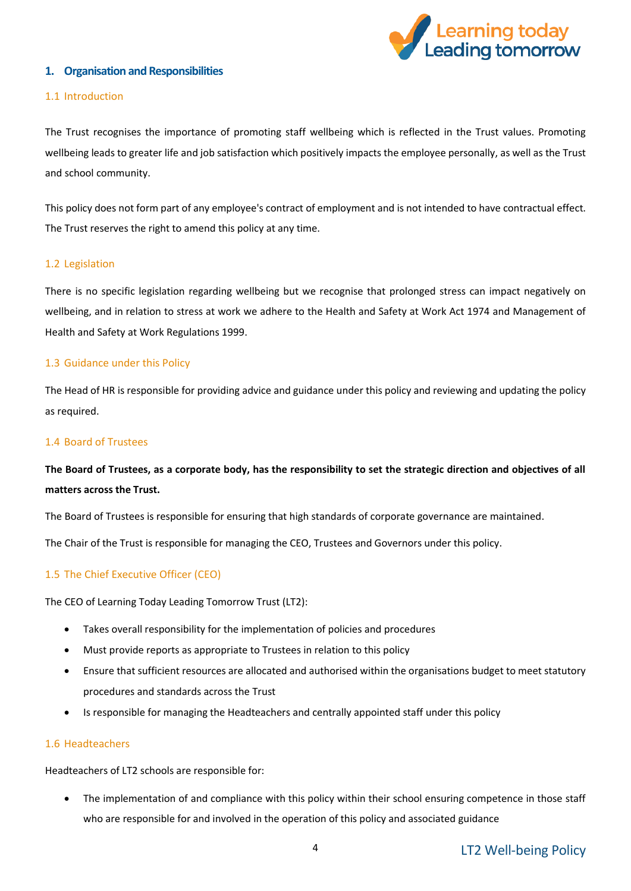

# <span id="page-3-0"></span>**1. Organisation and Responsibilities**

#### 1.1 Introduction

The Trust recognises the importance of promoting staff wellbeing which is reflected in the Trust values. Promoting wellbeing leads to greater life and job satisfaction which positively impacts the employee personally, as well as the Trust and school community.

This policy does not form part of any employee's contract of employment and is not intended to have contractual effect. The Trust reserves the right to amend this policy at any time.

#### 1.2 Legislation

There is no specific legislation regarding wellbeing but we recognise that prolonged stress can impact negatively on wellbeing, and in relation to stress at work we adhere to the Health and Safety at Work Act 1974 and Management of Health and Safety at Work Regulations 1999.

# 1.3 Guidance under this Policy

The Head of HR is responsible for providing advice and guidance under this policy and reviewing and updating the policy as required.

### 1.4 Board of Trustees

# **The Board of Trustees, as a corporate body, has the responsibility to set the strategic direction and objectives of all matters across the Trust.**

The Board of Trustees is responsible for ensuring that high standards of corporate governance are maintained.

The Chair of the Trust is responsible for managing the CEO, Trustees and Governors under this policy.

# 1.5 The Chief Executive Officer (CEO)

The CEO of Learning Today Leading Tomorrow Trust (LT2):

- Takes overall responsibility for the implementation of policies and procedures
- Must provide reports as appropriate to Trustees in relation to this policy
- Ensure that sufficient resources are allocated and authorised within the organisations budget to meet statutory procedures and standards across the Trust
- Is responsible for managing the Headteachers and centrally appointed staff under this policy

#### 1.6 Headteachers

Headteachers of LT2 schools are responsible for:

 The implementation of and compliance with this policy within their school ensuring competence in those staff who are responsible for and involved in the operation of this policy and associated guidance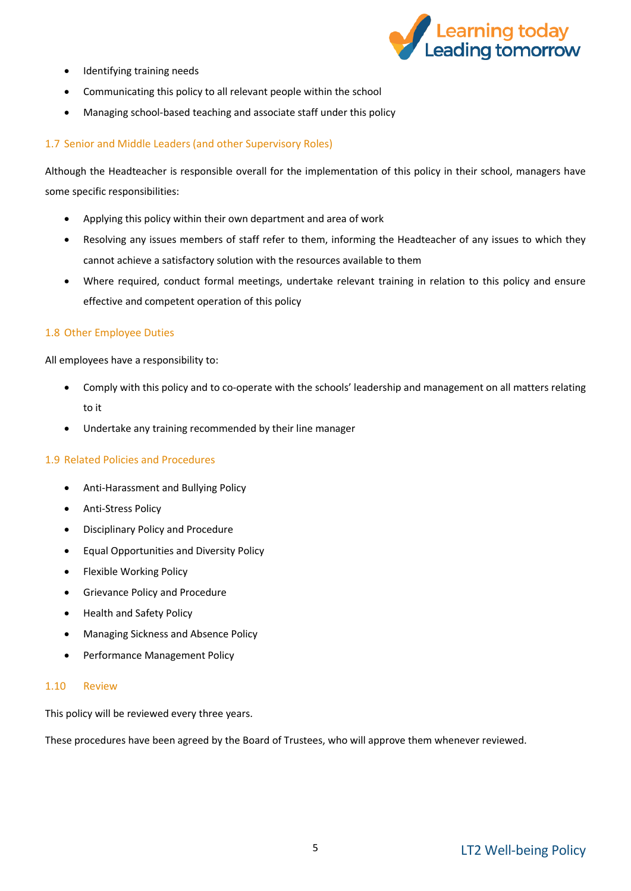

- Identifying training needs
- Communicating this policy to all relevant people within the school
- Managing school-based teaching and associate staff under this policy

# 1.7 Senior and Middle Leaders (and other Supervisory Roles)

Although the Headteacher is responsible overall for the implementation of this policy in their school, managers have some specific responsibilities:

- Applying this policy within their own department and area of work
- Resolving any issues members of staff refer to them, informing the Headteacher of any issues to which they cannot achieve a satisfactory solution with the resources available to them
- Where required, conduct formal meetings, undertake relevant training in relation to this policy and ensure effective and competent operation of this policy

# 1.8 Other Employee Duties

All employees have a responsibility to:

- Comply with this policy and to co-operate with the schools' leadership and management on all matters relating to it
- Undertake any training recommended by their line manager

#### 1.9 Related Policies and Procedures

- Anti-Harassment and Bullying Policy
- Anti-Stress Policy
- Disciplinary Policy and Procedure
- Equal Opportunities and Diversity Policy
- Flexible Working Policy
- **•** Grievance Policy and Procedure
- Health and Safety Policy
- Managing Sickness and Absence Policy
- Performance Management Policy

#### 1.10 Review

This policy will be reviewed every three years.

These procedures have been agreed by the Board of Trustees, who will approve them whenever reviewed.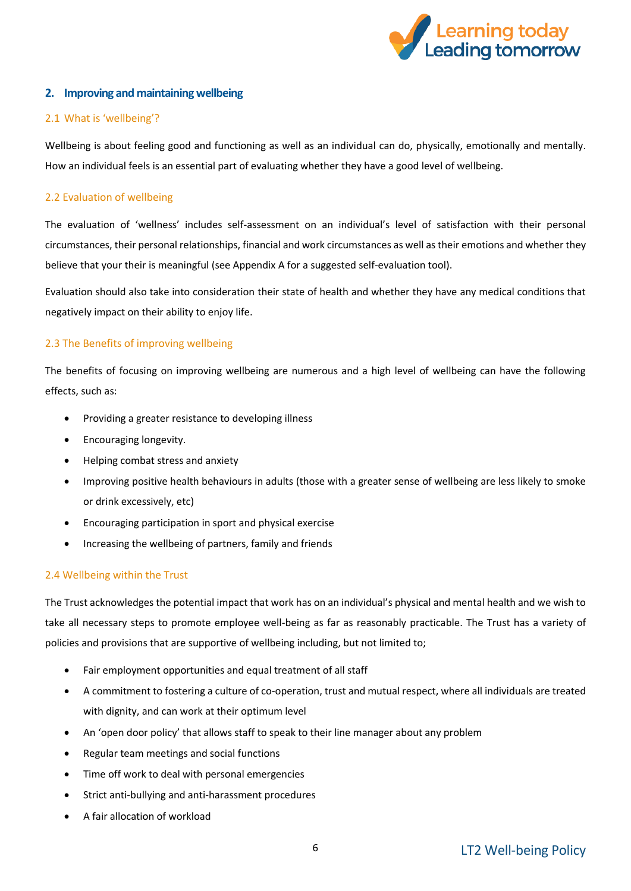

# <span id="page-5-0"></span>**2. Improving and maintaining wellbeing**

# 2.1 What is 'wellbeing'?

Wellbeing is about feeling good and functioning as well as an individual can do, physically, emotionally and mentally. How an individual feels is an essential part of evaluating whether they have a good level of wellbeing.

# 2.2 Evaluation of wellbeing

The evaluation of 'wellness' includes self-assessment on an individual's level of satisfaction with their personal circumstances, their personal relationships, financial and work circumstances as well as their emotions and whether they believe that your their is meaningful (see Appendix A for a suggested self-evaluation tool).

Evaluation should also take into consideration their state of health and whether they have any medical conditions that negatively impact on their ability to enjoy life.

# 2.3 The Benefits of improving wellbeing

The benefits of focusing on improving wellbeing are numerous and a high level of wellbeing can have the following effects, such as:

- Providing a greater resistance to developing illness
- Encouraging longevity.
- Helping combat stress and anxiety
- Improving positive health behaviours in adults (those with a greater sense of wellbeing are less likely to smoke or drink excessively, etc)
- Encouraging participation in sport and physical exercise
- Increasing the wellbeing of partners, family and friends

# 2.4 Wellbeing within the Trust

The Trust acknowledges the potential impact that work has on an individual's physical and mental health and we wish to take all necessary steps to promote employee well-being as far as reasonably practicable. The Trust has a variety of policies and provisions that are supportive of wellbeing including, but not limited to;

- Fair employment opportunities and equal treatment of all staff
- A commitment to fostering a culture of co-operation, trust and mutual respect, where all individuals are treated with dignity, and can work at their optimum level
- An 'open door policy' that allows staff to speak to their line manager about any problem
- Regular team meetings and social functions
- Time off work to deal with personal emergencies
- Strict anti-bullying and anti-harassment procedures
- A fair allocation of workload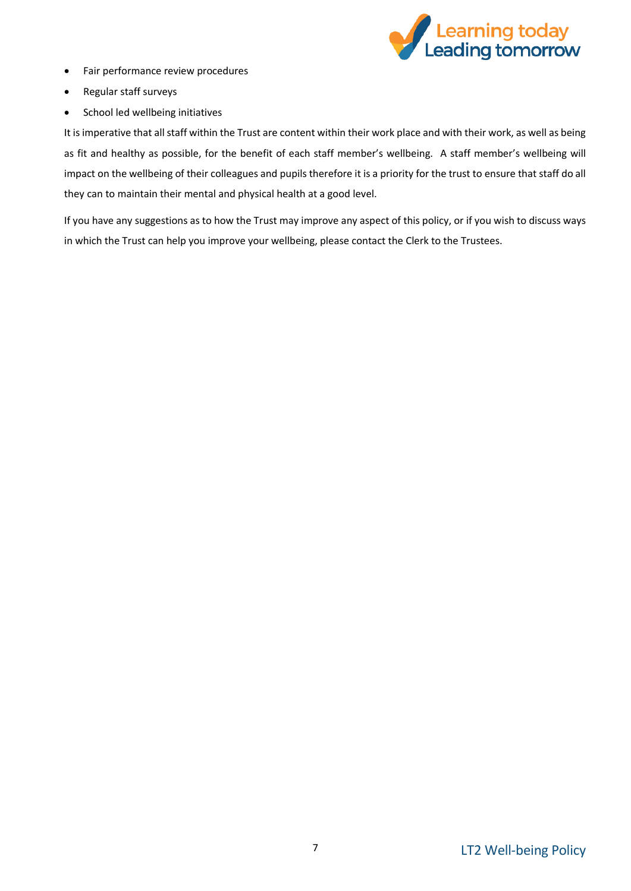

- Fair performance review procedures
- Regular staff surveys
- School led wellbeing initiatives

It is imperative that all staff within the Trust are content within their work place and with their work, as well as being as fit and healthy as possible, for the benefit of each staff member's wellbeing. A staff member's wellbeing will impact on the wellbeing of their colleagues and pupils therefore it is a priority for the trust to ensure that staff do all they can to maintain their mental and physical health at a good level.

If you have any suggestions as to how the Trust may improve any aspect of this policy, or if you wish to discuss ways in which the Trust can help you improve your wellbeing, please contact the Clerk to the Trustees.